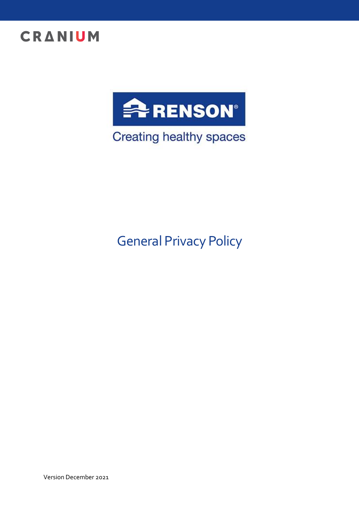



Creating healthy spaces

# General Privacy Policy

Version December 2021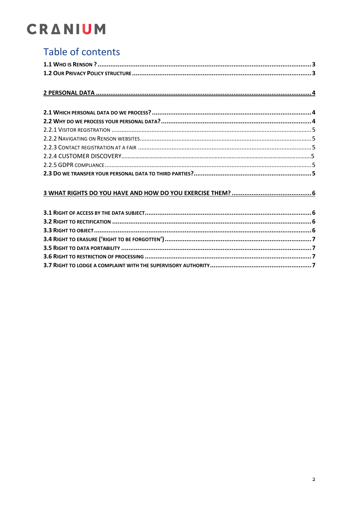# Table of contents

| 3.4 RIGHT TO ERASIDE ('DIGHT TO BE EORGOTTEN') |  |  |
|------------------------------------------------|--|--|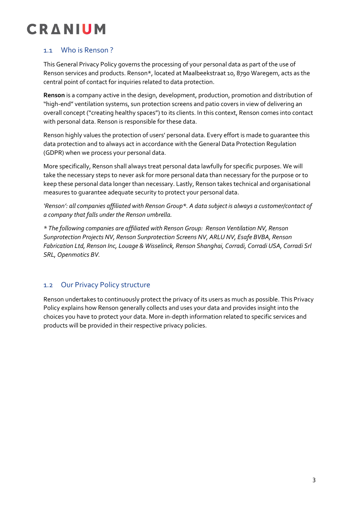### 1.1 Who is Renson ?

This General Privacy Policy governs the processing of your personal data as part of the use of Renson services and products. Renson\*, located at Maalbeekstraat 10, 8790 Waregem, acts as the central point of contact for inquiries related to data protection.

**Renson** is a company active in the design, development, production, promotion and distribution of "high-end" ventilation systems, sun protection screens and patio covers in view of delivering an overall concept ("creating healthy spaces") to its clients. In this context, Renson comes into contact with personal data. Renson is responsible for these data.

Renson highly values the protection of users' personal data. Every effort is made to guarantee this data protection and to always act in accordance with the General Data Protection Regulation (GDPR) when we process your personal data.

More specifically, Renson shall always treat personal data lawfully for specific purposes. We will take the necessary steps to never ask for more personal data than necessary for the purpose or to keep these personal data longer than necessary. Lastly, Renson takes technical and organisational measures to guarantee adequate security to protect your personal data.

*'Renson': all companies affiliated with Renson Group\*. A data subject is always a customer/contact of a company that falls under the Renson umbrella.*

*\* The following companies are affiliated with Renson Group: Renson Ventilation NV, Renson Sunprotection Projects NV, Renson Sunprotection Screens NV, ARLU NV, Esafe BVBA, Renson Fabrication Ltd, Renson Inc, Louage & Wisselinck, Renson Shanghai, Corradi, Corradi USA, Corradi Srl SRL, Openmotics BV.*

## 1.2 Our Privacy Policy structure

Renson undertakes to continuously protect the privacy of its users as much as possible. This Privacy Policy explains how Renson generally collects and uses your data and provides insight into the choices you have to protect your data. More in-depth information related to specific services and products will be provided in their respective privacy policies.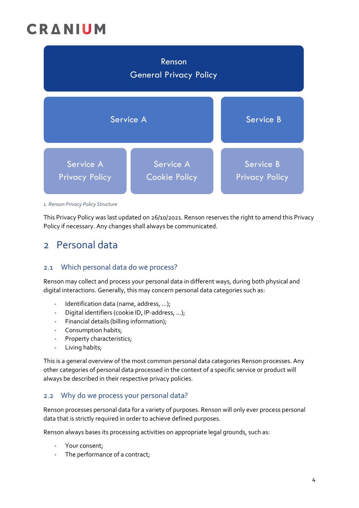| Renson<br><b>General Privacy Policy</b> |                                   |                                    |  |
|-----------------------------------------|-----------------------------------|------------------------------------|--|
| Service A                               |                                   | Service B                          |  |
| Service A<br><b>Privacy Policy</b>      | Service A<br><b>Cookie Policy</b> | Service B<br><b>Privacy Policy</b> |  |

*1. Renson Privacy Policy Structure*

This Privacy Policy was last updated on 26/10/2021. Renson reserves the right to amend this Privacy Policy if necessary. Any changes shall always be communicated.

# 2 Personal data

### 2.1 Which personal data do we process?

Renson may collect and process your personal data in different ways, during both physical and digital interactions. Generally, this may concern personal data categories such as:

- Identification data (name, address, ...);
- Digital identifiers (cookie ID, IP-address, ...);
- Financial details (billing information);
- Consumption habits;
- Property characteristics;
- Living habits;

This is a general overview of the most common personal data categories Renson processes. Any other categories of personal data processed in the context of a specific service or product will always be described in their respective privacy policies.

### <span id="page-3-0"></span>2.2 Why do we process your personal data?

Renson processes personal data for a variety of purposes. Renson will only ever process personal data that is strictly required in order to achieve defined purposes.

Renson always bases its processing activities on appropriate legal grounds, such as:

- Your consent;
- The performance of a contract;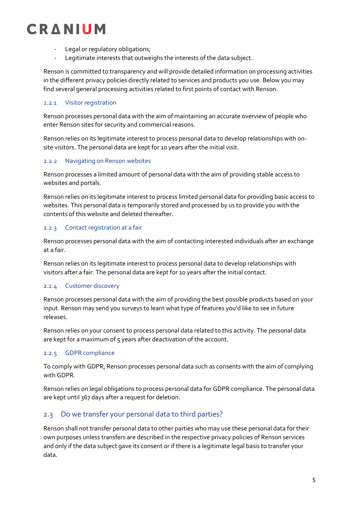- Legal or regulatory obligations;
- Legitimate interests that outweighs the interests of the data subject.

Renson is committed to transparency and will provide detailed information on processing activities in the different privacy policies directly related to services and products you use. Below you may find several general processing activities related to first points of contact with Renson.

#### <span id="page-4-0"></span>2.2.1 Visitor registration

Renson processes personal data with the aim of maintaining an accurate overview of people who enter Renson sites for security and commercial reasons.

Renson relies on its legitimate interest to process personal data to develop relationships with onsite visitors. The personal data are kept for 10 years after the initial visit.

#### <span id="page-4-1"></span>2.2.2 Navigating on Renson websites

Renson processes a limited amount of personal data with the aim of providing stable access to websites and portals.

Renson relies on its legitimate interest to process limited personal data for providing basic access to websites. This personal data is temporarily stored and processed by us to provide you with the contents of this website and deleted thereafter.

#### <span id="page-4-2"></span>2.2.3 Contact registration at a fair

Renson processes personal data with the aim of contacting interested individuals after an exchange at a fair.

Renson relies on its legitimate interest to process personal data to develop relationships with visitors after a fair. The personal data are kept for 10 years after the initial contact.

#### <span id="page-4-3"></span>2.2.4 Customer discovery

Renson processes personal data with the aim of providing the best possible products based on your input. Renson may send you surveys to learn what type of features you'd like to see in future releases.

Renson relies on your consent to process personal data related to this activity. The personal data are kept for a maximum of 5 years after deactivation of the account.

#### 2.2.5 GDPR compliance

To comply with GDPR, Renson processes personal data such as consents with the aim of complying with GDPR.

Renson relies on legal obligations to process personal data for GDPR compliance. The personal data are kept until 367 days after a request for deletion.

### <span id="page-4-4"></span>2.3 Do we transfer your personal data to third parties?

Renson shall not transfer personal data to other parties who may use these personal data for their own purposes unless transfers are described in the respective privacy policies of Renson services and only if the data subject gave its consent or if there is a legitimate legal basis to transfer your data.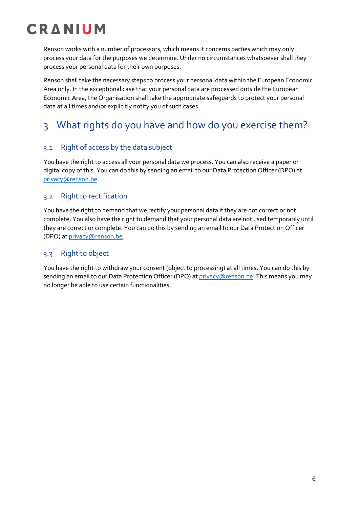Renson works with a number of processors, which means it concerns parties which may only process your data for the purposes we determine. Under no circumstances whatsoever shall they process your personal data for their own purposes.

Renson shall take the necessary steps to process your personal data within the European Economic Area only. In the exceptional case that your personal data are processed outside the European Economic Area, the Organisation shall take the appropriate safeguards to protect your personal data at all times and/or explicitly notify you of such cases.

# <span id="page-5-0"></span>3 What rights do you have and how do you exercise them?

## <span id="page-5-1"></span>3.1 Right of access by the data subject

You have the right to access all your personal data we process. You can also receive a paper or digital copy of this. You can do this by sending an email to our Data Protection Officer (DPO) at [privacy@renson.be.](mailto:dpo@renson.be)

### <span id="page-5-2"></span>3.2 Right to rectification

You have the right to demand that we rectify your personal data if they are not correct or not complete. You also have the right to demand that your personal data are not used temporarily until they are correct or complete. You can do this by sending an email to our Data Protection Officer (DPO) at [privacy@renson.be.](mailto:dpo@renson.be)

### <span id="page-5-3"></span>3.3 Right to object

You have the right to withdraw your consent (object to processing) at all times. You can do this by sending an email to our Data Protection Officer (DPO) at privacy (arenson.be. This means you may no longer be able to use certain functionalities.